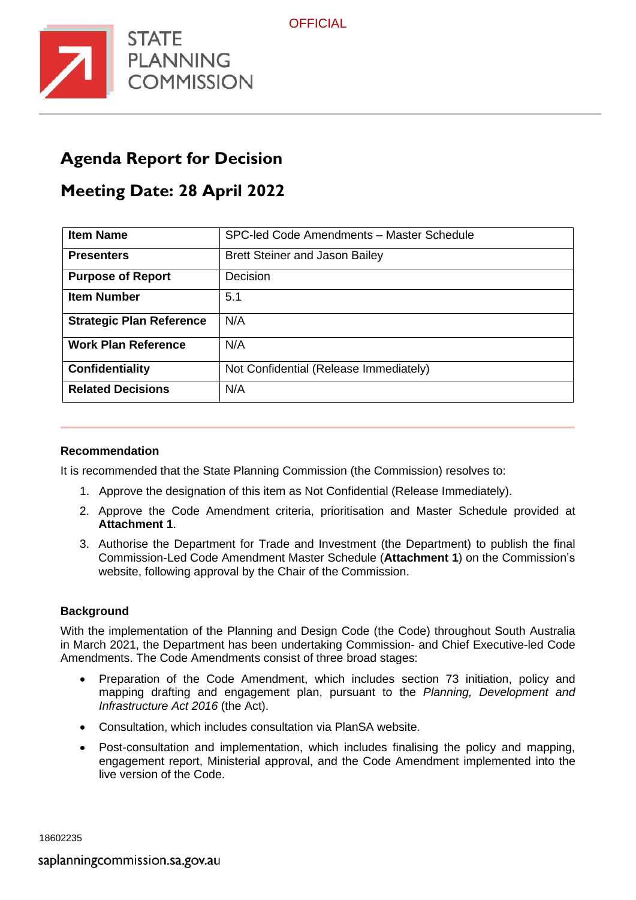

## **Agenda Report for Decision**

# **Meeting Date: 28 April 2022**

| <b>Item Name</b>                | SPC-led Code Amendments - Master Schedule |
|---------------------------------|-------------------------------------------|
| <b>Presenters</b>               | <b>Brett Steiner and Jason Bailey</b>     |
| <b>Purpose of Report</b>        | Decision                                  |
| <b>Item Number</b>              | 5.1                                       |
| <b>Strategic Plan Reference</b> | N/A                                       |
| <b>Work Plan Reference</b>      | N/A                                       |
| Confidentiality                 | Not Confidential (Release Immediately)    |
| <b>Related Decisions</b>        | N/A                                       |

#### **Recommendation**

It is recommended that the State Planning Commission (the Commission) resolves to:

- 1. Approve the designation of this item as Not Confidential (Release Immediately).
- 2. Approve the Code Amendment criteria, prioritisation and Master Schedule provided at **Attachment 1**.
- 3. Authorise the Department for Trade and Investment (the Department) to publish the final Commission-Led Code Amendment Master Schedule (**Attachment 1**) on the Commission's website, following approval by the Chair of the Commission.

#### **Background**

With the implementation of the Planning and Design Code (the Code) throughout South Australia in March 2021, the Department has been undertaking Commission- and Chief Executive-led Code Amendments. The Code Amendments consist of three broad stages:

- Preparation of the Code Amendment, which includes section 73 initiation, policy and mapping drafting and engagement plan, pursuant to the *Planning, Development and Infrastructure Act 2016* (the Act).
- Consultation, which includes consultation via PlanSA website.
- Post-consultation and implementation, which includes finalising the policy and mapping, engagement report, Ministerial approval, and the Code Amendment implemented into the live version of the Code.

18602235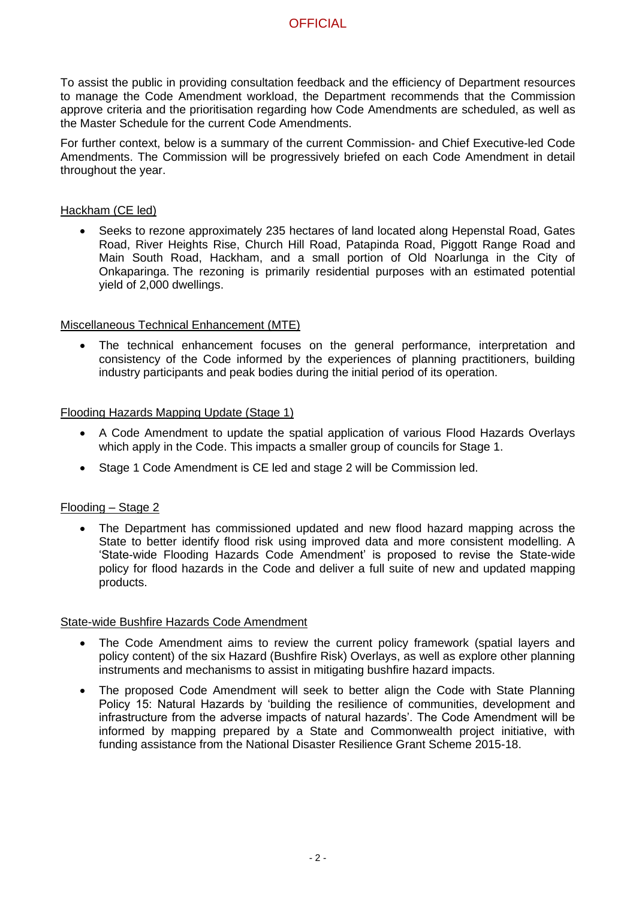### **OFFICIAL**

To assist the public in providing consultation feedback and the efficiency of Department resources to manage the Code Amendment workload, the Department recommends that the Commission approve criteria and the prioritisation regarding how Code Amendments are scheduled, as well as the Master Schedule for the current Code Amendments.

For further context, below is a summary of the current Commission- and Chief Executive-led Code Amendments. The Commission will be progressively briefed on each Code Amendment in detail throughout the year.

#### Hackham (CE led)

• Seeks to rezone approximately 235 hectares of land located along Hepenstal Road, Gates Road, River Heights Rise, Church Hill Road, Patapinda Road, Piggott Range Road and Main South Road, Hackham, and a small portion of Old Noarlunga in the City of Onkaparinga. The rezoning is primarily residential purposes with an estimated potential yield of 2,000 dwellings.

#### Miscellaneous Technical Enhancement (MTE)

• The technical enhancement focuses on the general performance, interpretation and consistency of the Code informed by the experiences of planning practitioners, building industry participants and peak bodies during the initial period of its operation.

#### Flooding Hazards Mapping Update (Stage 1)

- A Code Amendment to update the spatial application of various Flood Hazards Overlays which apply in the Code. This impacts a smaller group of councils for Stage 1.
- Stage 1 Code Amendment is CE led and stage 2 will be Commission led.

#### Flooding – Stage 2

• The Department has commissioned updated and new flood hazard mapping across the State to better identify flood risk using improved data and more consistent modelling. A 'State-wide Flooding Hazards Code Amendment' is proposed to revise the State-wide policy for flood hazards in the Code and deliver a full suite of new and updated mapping products.

#### State-wide Bushfire Hazards Code Amendment

- The Code Amendment aims to review the current policy framework (spatial layers and policy content) of the six Hazard (Bushfire Risk) Overlays, as well as explore other planning instruments and mechanisms to assist in mitigating bushfire hazard impacts.
- The proposed Code Amendment will seek to better align the Code with State Planning Policy 15: Natural Hazards by 'building the resilience of communities, development and infrastructure from the adverse impacts of natural hazards'. The Code Amendment will be informed by mapping prepared by a State and Commonwealth project initiative, with funding assistance from the National Disaster Resilience Grant Scheme 2015-18.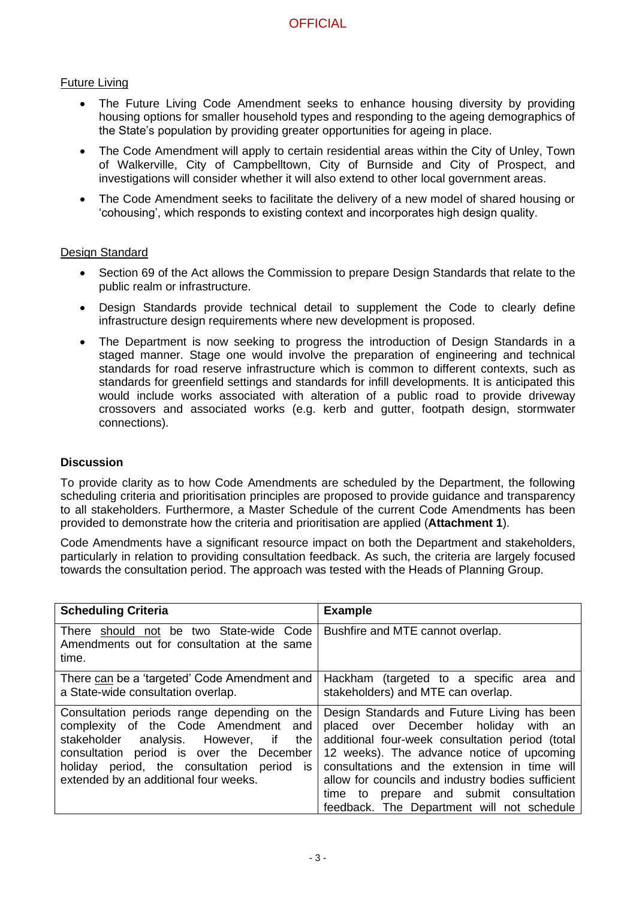#### Future Living

- The Future Living Code Amendment seeks to enhance housing diversity by providing housing options for smaller household types and responding to the ageing demographics of the State's population by providing greater opportunities for ageing in place.
- The Code Amendment will apply to certain residential areas within the City of Unley, Town of Walkerville, City of Campbelltown, City of Burnside and City of Prospect, and investigations will consider whether it will also extend to other local government areas.
- The Code Amendment seeks to facilitate the delivery of a new model of shared housing or 'cohousing', which responds to existing context and incorporates high design quality.

#### Design Standard

- Section 69 of the Act allows the Commission to prepare Design Standards that relate to the public realm or infrastructure.
- Design Standards provide technical detail to supplement the Code to clearly define infrastructure design requirements where new development is proposed.
- The Department is now seeking to progress the introduction of Design Standards in a staged manner. Stage one would involve the preparation of engineering and technical standards for road reserve infrastructure which is common to different contexts, such as standards for greenfield settings and standards for infill developments. It is anticipated this would include works associated with alteration of a public road to provide driveway crossovers and associated works (e.g. kerb and gutter, footpath design, stormwater connections).

#### **Discussion**

To provide clarity as to how Code Amendments are scheduled by the Department, the following scheduling criteria and prioritisation principles are proposed to provide guidance and transparency to all stakeholders. Furthermore, a Master Schedule of the current Code Amendments has been provided to demonstrate how the criteria and prioritisation are applied (**Attachment 1**).

Code Amendments have a significant resource impact on both the Department and stakeholders, particularly in relation to providing consultation feedback. As such, the criteria are largely focused towards the consultation period. The approach was tested with the Heads of Planning Group.

| <b>Scheduling Criteria</b>                                                                                                                                                                                                                                         | <b>Example</b>                                                                                                                                                                                                                                                                                                                                                                    |  |  |  |  |  |  |  |
|--------------------------------------------------------------------------------------------------------------------------------------------------------------------------------------------------------------------------------------------------------------------|-----------------------------------------------------------------------------------------------------------------------------------------------------------------------------------------------------------------------------------------------------------------------------------------------------------------------------------------------------------------------------------|--|--|--|--|--|--|--|
| There should not be two State-wide Code<br>Amendments out for consultation at the same<br>time.                                                                                                                                                                    | Bushfire and MTE cannot overlap.                                                                                                                                                                                                                                                                                                                                                  |  |  |  |  |  |  |  |
| There can be a 'targeted' Code Amendment and<br>a State-wide consultation overlap.                                                                                                                                                                                 | Hackham (targeted to a specific area and<br>stakeholders) and MTE can overlap.                                                                                                                                                                                                                                                                                                    |  |  |  |  |  |  |  |
| Consultation periods range depending on the<br>complexity of the Code Amendment and<br>stakeholder analysis. However, if<br>the<br>consultation period is over the December<br>holiday period, the consultation period is<br>extended by an additional four weeks. | Design Standards and Future Living has been<br>placed over December holiday with an<br>additional four-week consultation period (total<br>12 weeks). The advance notice of upcoming<br>consultations and the extension in time will<br>allow for councils and industry bodies sufficient<br>time to prepare and submit consultation<br>feedback. The Department will not schedule |  |  |  |  |  |  |  |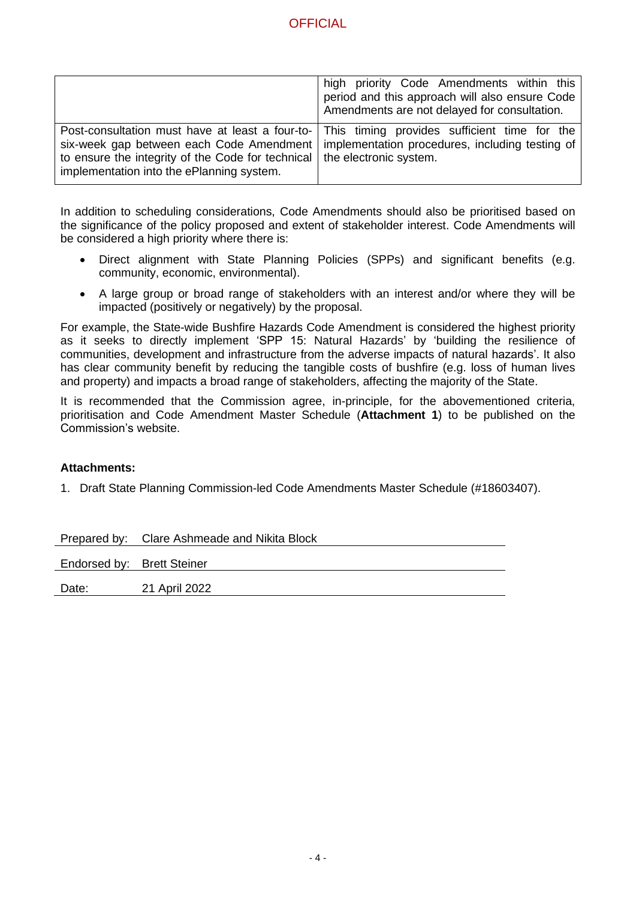| . . | ЮI<br>. .<br>г | . . |
|-----|----------------|-----|
|     |                |     |

|                                                                                                                                                                                                                        | high priority Code Amendments within this<br>period and this approach will also ensure Code<br>Amendments are not delayed for consultation. |
|------------------------------------------------------------------------------------------------------------------------------------------------------------------------------------------------------------------------|---------------------------------------------------------------------------------------------------------------------------------------------|
| Post-consultation must have at least a four-to-<br>six-week gap between each Code Amendment<br>to ensure the integrity of the Code for technical   the electronic system.<br>implementation into the ePlanning system. | This timing provides sufficient time for the<br>implementation procedures, including testing of                                             |

In addition to scheduling considerations, Code Amendments should also be prioritised based on the significance of the policy proposed and extent of stakeholder interest. Code Amendments will be considered a high priority where there is:

- Direct alignment with State Planning Policies (SPPs) and significant benefits (e.g. community, economic, environmental).
- A large group or broad range of stakeholders with an interest and/or where they will be impacted (positively or negatively) by the proposal.

For example, the State-wide Bushfire Hazards Code Amendment is considered the highest priority as it seeks to directly implement 'SPP 15: Natural Hazards' by 'building the resilience of communities, development and infrastructure from the adverse impacts of natural hazards'. It also has clear community benefit by reducing the tangible costs of bushfire (e.g. loss of human lives and property) and impacts a broad range of stakeholders, affecting the majority of the State.

It is recommended that the Commission agree, in-principle, for the abovementioned criteria, prioritisation and Code Amendment Master Schedule (**Attachment 1**) to be published on the Commission's website.

#### **Attachments:**

1. Draft State Planning Commission-led Code Amendments Master Schedule (#18603407).

|                            | Prepared by: Clare Ashmeade and Nikita Block |
|----------------------------|----------------------------------------------|
| Endorsed by: Brett Steiner |                                              |
| Date:                      | 21 April 2022                                |